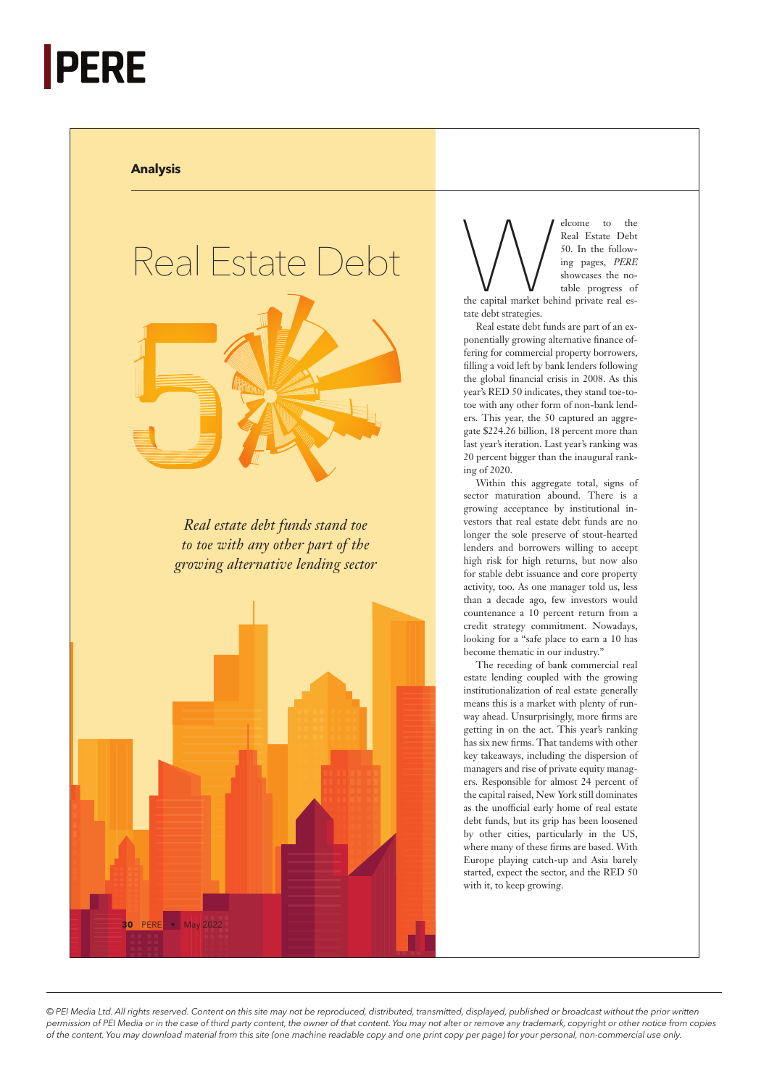## **PERE**

## **Analysis**



Welcome to the Real Estate Debt<br>
Following pages, *PERE*<br>
the capital market behind private real es-<br>
the capital market behind private real es-Real Estate Debt 50. In the following pages, *PERE* showcases the notable progress of

tate debt strategies.

Real estate debt funds are part of an exponentially growing alternative finance offering for commercial property borrowers, filling a void left by bank lenders following the global financial crisis in 2008. As this year's RED 50 indicates, they stand toe-totoe with any other form of non-bank lenders. This year, the 50 captured an aggregate \$224.26 billion, 18 percent more than last year's iteration. Last year's ranking was 20 percent bigger than the inaugural ranking of 2020.

Within this aggregate total, signs of sector maturation abound. There is a growing acceptance by institutional investors that real estate debt funds are no longer the sole preserve of stout-hearted lenders and borrowers willing to accept high risk for high returns, but now also for stable debt issuance and core property activity, too. As one manager told us, less than a decade ago, few investors would countenance a 10 percent return from a credit strategy commitment. Nowadays, looking for a "safe place to earn a 10 has become thematic in our industry."

The receding of bank commercial real estate lending coupled with the growing institutionalization of real estate generally means this is a market with plenty of runway ahead. Unsurprisingly, more firms are getting in on the act. This year's ranking has six new firms. That tandems with other key takeaways, including the dispersion of managers and rise of private equity managers. Responsible for almost 24 percent of the capital raised, New York still dominates as the unofficial early home of real estate debt funds, but its grip has been loosened by other cities, particularly in the US, where many of these firms are based. With Europe playing catch-up and Asia barely started, expect the sector, and the RED 50 with it, to keep growing.

*© PEI Media Ltd. All rights reserved. Content on this site may not be reproduced, distributed, transmitted, displayed, published or broadcast without the prior written permission of PEI Media or in the case of third party content, the owner of that content. You may not alter or remove any trademark, copyright or other notice from copies of the content. You may download material from this site (one machine readable copy and one print copy per page) for your personal, non-commercial use only.*